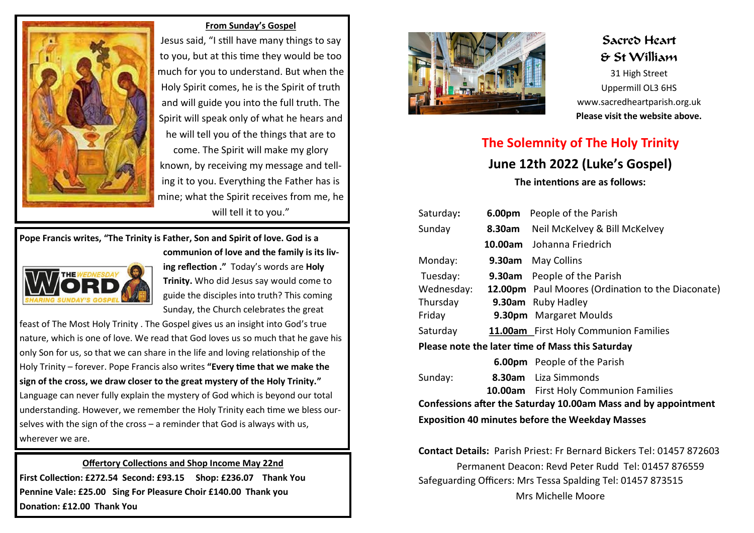

#### **From Sunday's Gospel**

Jesus said, "I still have many things to say to you, but at this time they would be too much for you to understand. But when the Holy Spirit comes, he is the Spirit of truth and will guide you into the full truth. The Spirit will speak only of what he hears and he will tell you of the things that are to come. The Spirit will make my glory known, by receiving my message and telling it to you. Everything the Father has is mine; what the Spirit receives from me, he will tell it to you."

### **Pope Francis writes, "The Trinity is Father, Son and Spirit of love. God is a communion of love and the family is its liv-**



**ing reflection ."** Today's words are **Holy Trinity.** Who did Jesus say would come to guide the disciples into truth? This coming Sunday, the Church celebrates the great

feast of The Most Holy Trinity . The Gospel gives us an insight into God's true nature, which is one of love. We read that God loves us so much that he gave his only Son for us, so that we can share in the life and loving relationship of the Holy Trinity – forever. Pope Francis also writes **"Every time that we make the sign of the cross, we draw closer to the great mystery of the Holy Trinity."**  Language can never fully explain the mystery of God which is beyond our total understanding. However, we remember the Holy Trinity each time we bless ourselves with the sign of the cross – a reminder that God is always with us, wherever we are.

## **Offertory Collections and Shop Income May 22nd First Collection: £272.54 Second: £93.15 Shop: £236.07 Thank You Pennine Vale: £25.00 Sing For Pleasure Choir £140.00 Thank you Donation: £12.00 Thank You**



# Sacred Heart & St William

31 High Street Uppermill OL3 6HS www.sacredheartparish.org.uk **Please visit the website above.** 

# **The Solemnity of The Holy Trinity June 12th 2022 (Luke's Gospel) The intentions are as follows:**

| Saturday:                                                      | 6.00pm | People of the Parish                              |
|----------------------------------------------------------------|--------|---------------------------------------------------|
| Sunday                                                         | 8.30am | Neil McKelvey & Bill McKelvey                     |
|                                                                |        | 10.00am Johanna Friedrich                         |
| Monday:                                                        | 9.30am | <b>May Collins</b>                                |
| Tuesday:                                                       |        | <b>9.30am</b> People of the Parish                |
| Wednesday:                                                     |        | 12.00pm Paul Moores (Ordination to the Diaconate) |
| Thursday                                                       |        | 9.30am Ruby Hadley                                |
| Friday                                                         |        | 9.30pm Margaret Moulds                            |
| Saturday                                                       |        | 11.00am First Holy Communion Families             |
| Please note the later time of Mass this Saturday               |        |                                                   |
|                                                                |        | <b>6.00pm</b> People of the Parish                |
| Sunday:                                                        |        | 8.30am Liza Simmonds                              |
|                                                                |        | <b>10.00am</b> First Holy Communion Families      |
| Confessions after the Saturday 10.00am Mass and by appointment |        |                                                   |
| <b>Exposition 40 minutes before the Weekday Masses</b>         |        |                                                   |

**Contact Details:** Parish Priest: Fr Bernard Bickers Tel: 01457 872603 Permanent Deacon: Revd Peter Rudd Tel: 01457 876559 Safeguarding Officers: Mrs Tessa Spalding Tel: 01457 873515 Mrs Michelle Moore